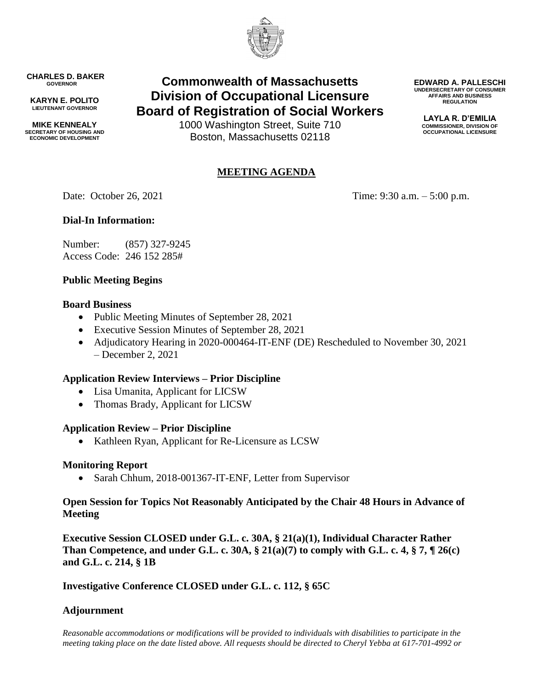

**CHARLES D. BAKER GOVERNOR**

**KARYN E. POLITO LIEUTENANT GOVERNOR**

**MIKE KENNEALY SECRETARY OF HOUSING AND ECONOMIC DEVELOPMENT**

# **Commonwealth of Massachusetts Division of Occupational Licensure Board of Registration of Social Workers**

1000 Washington Street, Suite 710 Boston, Massachusetts 02118

## **MEETING AGENDA**

Date: October 26, 2021 Time: 9:30 a.m. – 5:00 p.m.

**EDWARD A. PALLESCHI UNDERSECRETARY OF CONSUMER AFFAIRS AND BUSINESS REGULATION LAYLA R. D'EMILIA COMMISSIONER, DIVISION OF OCCUPATIONAL LICENSURE**

## **Dial-In Information:**

Number: (857) 327-9245 Access Code: 246 152 285#

## **Public Meeting Begins**

#### **Board Business**

- Public Meeting Minutes of September 28, 2021
- Executive Session Minutes of September 28, 2021
- Adjudicatory Hearing in 2020-000464-IT-ENF (DE) Rescheduled to November 30, 2021 – December 2, 2021

## **Application Review Interviews – Prior Discipline**

- Lisa Umanita, Applicant for LICSW
- Thomas Brady, Applicant for LICSW

#### **Application Review – Prior Discipline**

Kathleen Ryan, Applicant for Re-Licensure as LCSW

#### **Monitoring Report**

• Sarah Chhum, 2018-001367-IT-ENF, Letter from Supervisor

#### **Open Session for Topics Not Reasonably Anticipated by the Chair 48 Hours in Advance of Meeting**

**Executive Session CLOSED under G.L. c. 30A, § 21(a)(1), Individual Character Rather Than Competence, and under G.L. c. 30A, § 21(a)(7) to comply with G.L. c. 4, § 7, ¶ 26(c) and G.L. c. 214, § 1B**

**Investigative Conference CLOSED under G.L. c. 112, § 65C**

## **Adjournment**

*Reasonable accommodations or modifications will be provided to individuals with disabilities to participate in the meeting taking place on the date listed above. All requests should be directed to Cheryl Yebba at 617-701-4992 or*